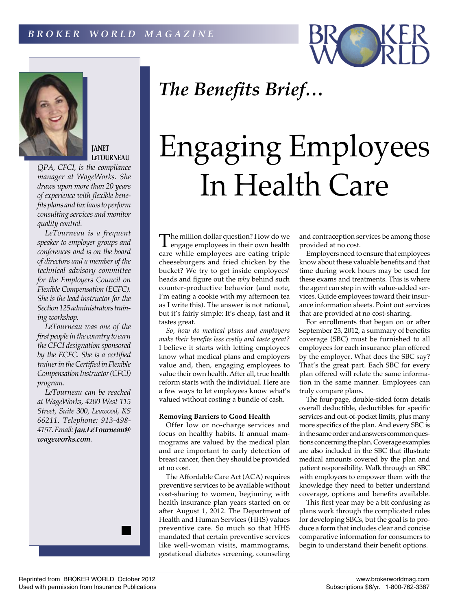



# **JANET LeTOURNEAU**

*QPA, CFCI, is the compliance manager at WageWorks. She draws upon more than 20 years of experience with flexible benefits plans and tax laws to perform consulting services and monitor quality control.*

*LeTourneau is a frequent speaker to employer groups and conferences and is on the board of directors and a member of the technical advisory committee for the Employers Council on Flexible Compensation (ECFC). She is the lead instructor for the Section 125 administrators training workshop.*

*LeTourneau was one of the first people in the country to earn the CFCI designation sponsored by the ECFC. She is a certified trainer in the Certified in Flexible Compensation Instructor (CFCI) program.*

*LeTourneau can be reached at WageWorks, 4200 West 115 Street, Suite 300, Leawood, KS 66211. Telephone: 913-498- 4157. Email: Jan.LeTourneau@ wageworks.com.*



# Engaging Employees In Health Care

The million dollar question? How do we engage employees in their own health care while employees are eating triple cheeseburgers and fried chicken by the bucket? We try to get inside employees' heads and figure out the *why* behind such counter-productive behavior (and note, I'm eating a cookie with my afternoon tea as I write this). The answer is not rational, but it's fairly simple: It's cheap, fast and it tastes great.

*So, how do medical plans and employers make their benefits less costly and taste great?*  I believe it starts with letting employees know what medical plans and employers value and, then, engaging employees to value their own health. After all, true health reform starts with the individual. Here are a few ways to let employees know what's valued without costing a bundle of cash.

### **Removing Barriers to Good Health**

Offer low or no-charge services and focus on healthy habits. If annual mammograms are valued by the medical plan and are important to early detection of breast cancer, then they should be provided at no cost.

The Affordable Care Act (ACA) requires preventive services to be available without cost-sharing to women, beginning with health insurance plan years started on or after August 1, 2012. The Department of Health and Human Services (HHS) values preventive care. So much so that HHS mandated that certain preventive services like well-woman visits, mammograms, gestational diabetes screening, counseling

and contraception services be among those provided at no cost.

Employers need to ensure that employees know about these valuable benefits and that time during work hours may be used for these exams and treatments. This is where the agent can step in with value-added services. Guide employees toward their insurance information sheets. Point out services that are provided at no cost-sharing.

For enrollments that began on or after September 23, 2012, a summary of benefits coverage (SBC) must be furnished to all employees for each insurance plan offered by the employer. What does the SBC say? That's the great part. Each SBC for every plan offered will relate the same information in the same manner. Employees can truly compare plans.

The four-page, double-sided form details overall deductible, deductibles for specific services and out-of-pocket limits, plus many more specifics of the plan. And every SBC is in the same order and answers common questions concerning the plan. Coverage examples are also included in the SBC that illustrate medical amounts covered by the plan and patient responsibility. Walk through an SBC with employees to empower them with the knowledge they need to better understand coverage, options and benefits available.

This first year may be a bit confusing as plans work through the complicated rules for developing SBCs, but the goal is to produce a form that includes clear and concise comparative information for consumers to begin to understand their benefit options.